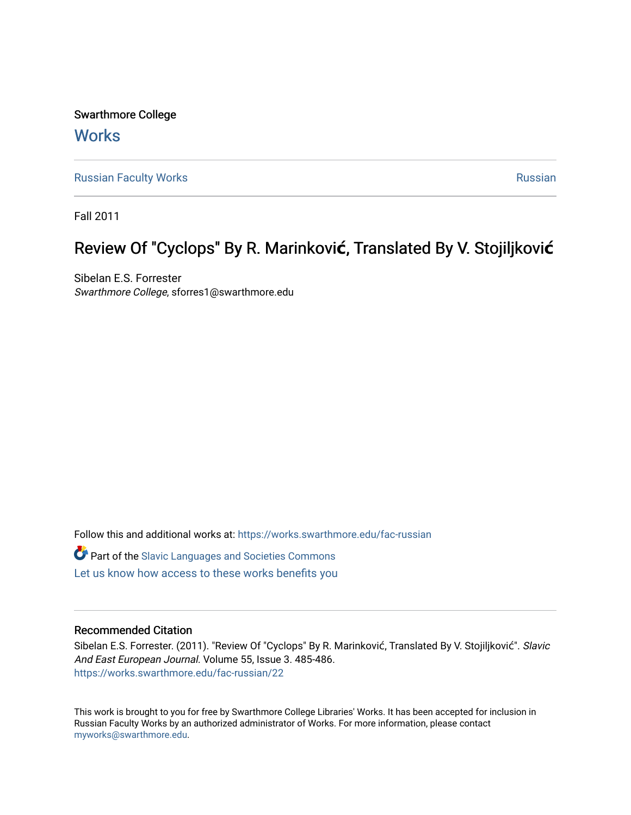Swarthmore College **Works** 

[Russian Faculty Works](https://works.swarthmore.edu/fac-russian) **Russian** [Russian](https://works.swarthmore.edu/russian) Russian Russian

Fall 2011

# Review Of "Cyclops" By R. Marinković, Translated By V. Stojiljković

Sibelan E.S. Forrester Swarthmore College, sforres1@swarthmore.edu

Follow this and additional works at: [https://works.swarthmore.edu/fac-russian](https://works.swarthmore.edu/fac-russian?utm_source=works.swarthmore.edu%2Ffac-russian%2F22&utm_medium=PDF&utm_campaign=PDFCoverPages)  **C** Part of the Slavic Languages and Societies Commons [Let us know how access to these works benefits you](https://forms.gle/4MB8mE2GywC5965J8) 

## Recommended Citation

Sibelan E.S. Forrester. (2011). "Review Of "Cyclops" By R. Marinković, Translated By V. Stojiljković". Slavic And East European Journal. Volume 55, Issue 3. 485-486. <https://works.swarthmore.edu/fac-russian/22>

This work is brought to you for free by Swarthmore College Libraries' Works. It has been accepted for inclusion in Russian Faculty Works by an authorized administrator of Works. For more information, please contact [myworks@swarthmore.edu.](mailto:myworks@swarthmore.edu)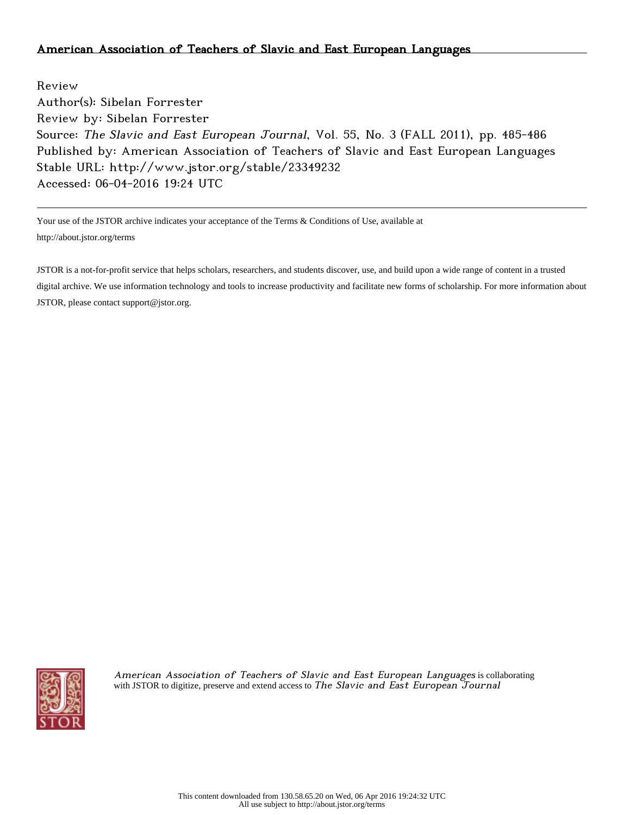## American Association of Teachers of Slavic and East European Languages

Review Author(s): Sibelan Forrester Review by: Sibelan Forrester Source: The Slavic and East European Journal, Vol. 55, No. 3 (FALL 2011), pp. 485-486 Published by: American Association of Teachers of Slavic and East European Languages Stable URL: http://www.jstor.org/stable/23349232 Accessed: 06-04-2016 19:24 UTC

Your use of the JSTOR archive indicates your acceptance of the Terms & Conditions of Use, available at http://about.jstor.org/terms

JSTOR is a not-for-profit service that helps scholars, researchers, and students discover, use, and build upon a wide range of content in a trusted digital archive. We use information technology and tools to increase productivity and facilitate new forms of scholarship. For more information about JSTOR, please contact support@jstor.org.



American Association of Teachers of Slavic and East European Languages is collaborating with JSTOR to digitize, preserve and extend access to The Slavic and East European Tournal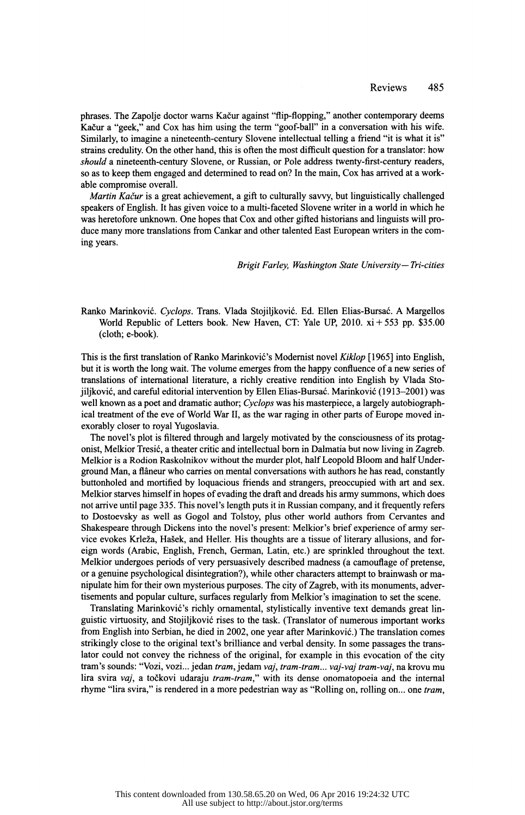phrases. The Zapolje doctor warns Kačur against "flip-flopping," another contemporary deems Kacur a "geek," and Cox has him using the term "goof-ball" in a conversation with his wife. Similarly, to imagine a nineteenth-century Slovene intellectual telling a friend "it is what it is" strains credulity. On the other hand, this is often the most difficult question for a translator: how should a nineteenth-century Slovene, or Russian, or Pole address twenty-first-century readers, so as to keep them engaged and determined to read on? In the main, Cox has arrived at a work able compromise overall.

*Martin Kačur* is a great achievement, a gift to culturally say v, but linguistically challenged speakers of English. It has given voice to a multi-faceted Slovene writer in a world in which he was heretofore unknown. One hopes that Cox and other gifted historians and linguists will pro duce many more translations from Cankar and other talented East European writers in the com ing years.

Brigit Farley, Washington State University— Tri-cities

Ranko Marinković. Cyclops. Trans. Vlada Stojiljković. Ed. Ellen Elias-Bursać. A Margellos World Republic of Letters book. New Haven, CT: Yale UP, 2010.  $xi + 553$  pp. \$35.00 (cloth; e-book).

 This is the first translation of Ranko Marinkovic's Modernist novel Kiklop [1965] into English, but it is worth the long wait. The volume emerges from the happy confluence of a new series of translations of international literature, a richly creative rendition into English by Vlada Sto jiljkovic, and careful editorial intervention by Ellen Elias-Bursac. Marinkovic (1913-2001) was well known as a poet and dramatic author; Cyclops was his masterpiece, a largely autobiograph ical treatment of the eve of World War If, as the war raging in other parts of Europe moved in exorably closer to royal Yugoslavia.

 The novel's plot is filtered through and largely motivated by the consciousness of its protag onist, Melkior Tresic, a theater critic and intellectual born in Dalmatia but now living in Zagreb. Melkior is a Rodion Raskolnikov without the murder plot, half Leopold Bloom and half Under ground Man, a flaneur who carries on mental conversations with authors he has read, constantly buttonholed and mortified by loquacious friends and strangers, preoccupied with art and sex. Melkior starves himself in hopes of evading the draft and dreads his army summons, which does not arrive until page 335. This novel's length puts it in Russian company, and it frequently refers to Dostoevsky as well as Gogol and Tolstoy, plus other world authors from Cervantes and Shakespeare through Dickens into the novel's present: Melkior's brief experience of army ser vice evokes Krleza, Hasek, and Heller. His thoughts are a tissue of literary allusions, and for eign words (Arabic, English, French, German, Latin, etc.) are sprinkled throughout the text. Melkior undergoes periods of very persuasively described madness (a camouflage of pretense, or a genuine psychological disintegration?), while other characters attempt to brainwash or ma nipulate him for their own mysterious purposes. The city of Zagreb, with its monuments, adver tisements and popular culture, surfaces regularly from Melkior's imagination to set the scene.

 Translating Marinkovic's richly ornamental, stylistically inventive text demands great lin guistic virtuosity, and Stojiljkovic rises to the task. (Translator of numerous important works from English into Serbian, he died in 2002, one year after Marinkovic.) The translation comes strikingly close to the original text's brilliance and verbal density. In some passages the trans lator could not convey the richness of the original, for example in this evocation of the city tram's sounds: "Vozi, vozi... jedan tram, jedam vaj, tram-tram... vaj-vaj tram-vaj, na krovu mu lira svira vaj, a točkovi udaraju tram-tram," with its dense onomatopoeia and the internal rhyme "lira svira," is rendered in a more pedestrian way as "Rolling on, rolling on... one tram,